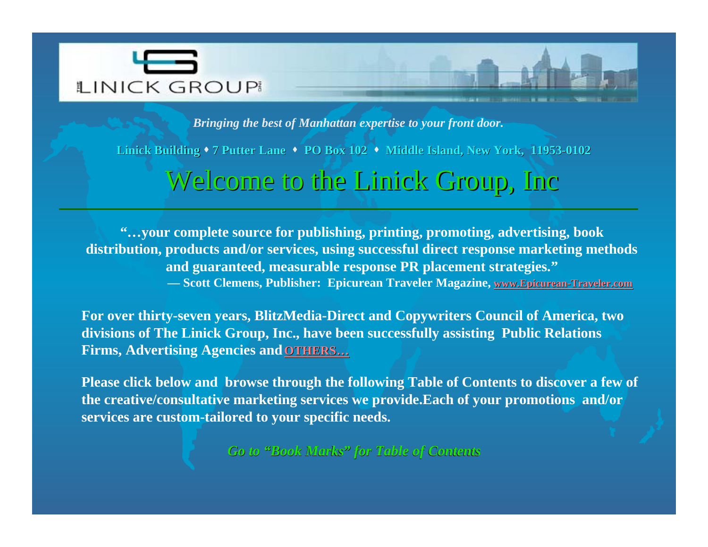<span id="page-0-0"></span>

*Bringing the best of Manhattan expertise to your front door.*

Linick Building **\*** 7 Putter Lane **\*** PO Box 102 **\*** Middle Island, New York, 11953-0102

## Welcome to the Linick Group, Inc

**"…your complete source for publishing, printing, promoting, advertising, book distribution, products and/or services, using successful direct response marketing methods and guaranteed, measurable response PR placement strategies." — Scott Clemens, Publisher: Epicurean Traveler Magazine, [www.Epicurean-Traveler.com](http://www.epicurean-traveler.com)**

**For over thirty-seven years, BlitzMedia-Direct and Copywriters Council of America, two divisions of The Linick Group, Inc., have been successfully assisting Public Relations Firms, Advertising Agencies and [OTHERS](#page-1-0) …**

**Please click below and browse through the following Table of Contents to discover a few of the creative/consultative marketing services we provide.Each of your promotions and/or services are custom-tailored to your specific needs.**

*Go to "Book Marks Book Marks " for Table of Contents for Table Contents*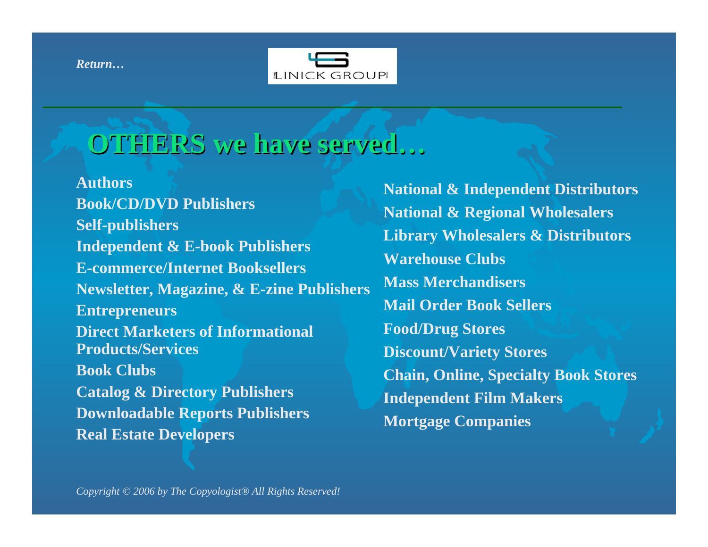<span id="page-1-0"></span>*[Return…](#page-0-0)*



## **OTHERS we have served OTHERS we have served …**

**Authors Book/CD/DVD Publishers Self-publishers Independent & E-book Publishers E-commerce/Internet Booksellers Newsletter, Magazine, & E-zine Publishers Entrepreneurs Direct Marketers of Informational Products/Services Book Clubs Catalog & Directory Publishers Downloadable Reports Publishers Real Estate Developers**

 **National & Independent Distributors National & Regional Wholesalers Library Wholesalers & Distributors Warehouse Clubs Mass Merchandisers Mail Order Book Sellers Food/Drug Stores Discount/Variety Stores Chain, Online, Specialty Book Stores Independent Film Makers Mortgage Companies**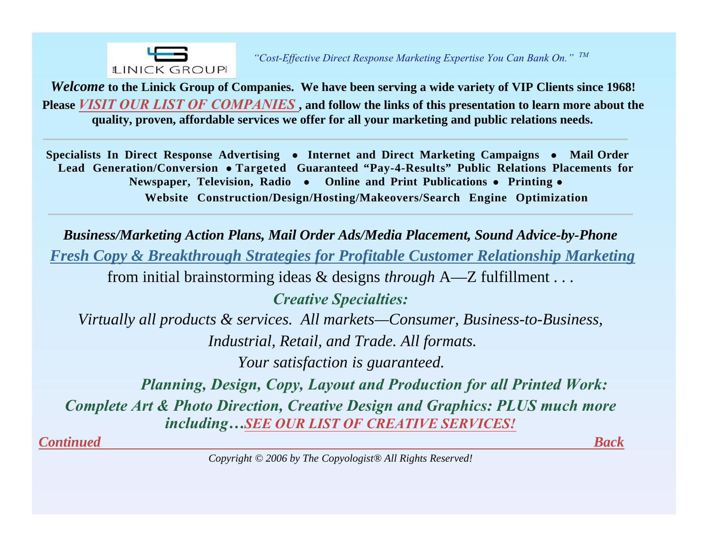

<span id="page-2-0"></span>*Welcome* **to the Linick Group of Companies. We have been serving a wide variety of VIP Clients since 1968! Please** *[VISIT OUR LIST OF COMPANIES](#page-9-0)* **, and follow the links of this presentation to learn more about the quality, proven, affordable services we offer for all your marketing and public relations needs.**

Specialists In Direct Response Advertising • Internet and Direct Marketing Campaigns • Mail Order **Lead Generation/Conversion**  - **Targeted Guaranteed "Pay-4-Results" Public Relations Placements for Newspaper, Television, Radio • Online and Print Publications • Printing • Website Construction/Design/Hosting/Makeovers/Search Engine Optimization**

*Business/Marketing Action Plans, Mail Order Ads/Media Placement, Sound Advice-by-Phone Fresh Copy & Breakthrough Strategies for Profitable Customer Relationship Marketing* from initial brainstorming ideas & designs *through* A—Z fulfillment . . . *Creative Specialties: Virtually all products & services. All markets—Consumer, Business-to-Business, Industrial, Retail, and Trade. All formats. Your satisfaction is guaranteed. Planning, Design, Copy, Layout and Production for all Printed Work:*

*Complete Art & Photo Direction, Creative Design and Graphics: PLUS much more including[…SEE OUR LIST OF CREATIVE SERVICES!](#page-3-0)*

*[Continued](#page-4-0) [Back](#page-1-0)*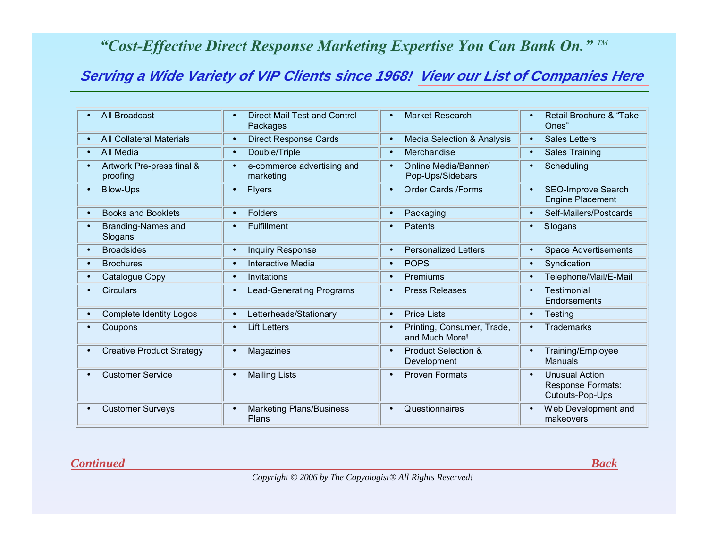## <span id="page-3-0"></span>**Serving a Wide Variety of VIP Clients since 1968! [View our List of Companies Here](#page-9-0)**

| All Broadcast<br>$\bullet$                         | <b>Direct Mail Test and Control</b><br>$\bullet$<br>Packages | <b>Market Research</b><br>$\bullet$                       | <b>Retail Brochure &amp; "Take</b><br>$\bullet$<br>Ones"                          |
|----------------------------------------------------|--------------------------------------------------------------|-----------------------------------------------------------|-----------------------------------------------------------------------------------|
| <b>All Collateral Materials</b><br>$\bullet$       | <b>Direct Response Cards</b><br>$\bullet$                    | <b>Media Selection &amp; Analysis</b><br>$\bullet$        | <b>Sales Letters</b><br>$\bullet$                                                 |
| All Media<br>$\bullet$                             | Double/Triple<br>$\bullet$                                   | Merchandise<br>$\bullet$                                  | <b>Sales Training</b><br>$\bullet$                                                |
| Artwork Pre-press final &<br>$\bullet$<br>proofing | e-commerce advertising and<br>$\bullet$<br>marketing         | Online Media/Banner/<br>$\bullet$<br>Pop-Ups/Sidebars     | Scheduling<br>$\bullet$                                                           |
| <b>Blow-Ups</b><br>$\bullet$                       | <b>Flyers</b><br>$\bullet$                                   | Order Cards / Forms<br>$\bullet$                          | <b>SEO-Improve Search</b><br>$\bullet$<br><b>Engine Placement</b>                 |
| <b>Books and Booklets</b><br>$\bullet$             | <b>Folders</b><br>$\bullet$                                  | Packaging                                                 | Self-Mailers/Postcards<br>$\bullet$                                               |
| <b>Branding-Names and</b><br>$\bullet$<br>Slogans  | <b>Fulfillment</b><br>$\bullet$                              | <b>Patents</b>                                            | Slogans<br>$\bullet$                                                              |
| <b>Broadsides</b><br>$\bullet$                     | <b>Inquiry Response</b><br>$\bullet$                         | <b>Personalized Letters</b><br>$\bullet$                  | <b>Space Advertisements</b><br>$\bullet$                                          |
| <b>Brochures</b><br>$\bullet$                      | <b>Interactive Media</b><br>$\bullet$                        | <b>POPS</b><br>$\bullet$                                  | Syndication<br>$\bullet$                                                          |
| Catalogue Copy<br>$\bullet$                        | Invitations<br>$\bullet$                                     | Premiums<br>$\bullet$                                     | Telephone/Mail/E-Mail<br>$\bullet$                                                |
| Circulars                                          | <b>Lead-Generating Programs</b><br>$\bullet$                 | <b>Press Releases</b>                                     | <b>Testimonial</b><br>Endorsements                                                |
| <b>Complete Identity Logos</b><br>$\bullet$        | Letterheads/Stationary<br>$\bullet$                          | <b>Price Lists</b><br>$\bullet$                           | Testing<br>$\bullet$                                                              |
| Coupons                                            | <b>Lift Letters</b><br>$\bullet$                             | Printing, Consumer, Trade,<br>$\bullet$<br>and Much More! | <b>Trademarks</b>                                                                 |
| <b>Creative Product Strategy</b><br>$\bullet$      | Magazines<br>$\bullet$                                       | <b>Product Selection &amp;</b><br>Development             | Training/Employee<br>$\bullet$<br><b>Manuals</b>                                  |
| <b>Customer Service</b><br>$\bullet$               | <b>Mailing Lists</b><br>$\bullet$                            | <b>Proven Formats</b>                                     | <b>Unusual Action</b><br>$\bullet$<br><b>Response Formats:</b><br>Cutouts-Pop-Ups |
| <b>Customer Surveys</b><br>$\bullet$               | <b>Marketing Plans/Business</b><br>$\bullet$<br>Plans        | Questionnaires                                            | Web Development and<br>$\bullet$<br>makeovers                                     |

#### *[Continued](#page-4-0) [Back](#page-2-0)*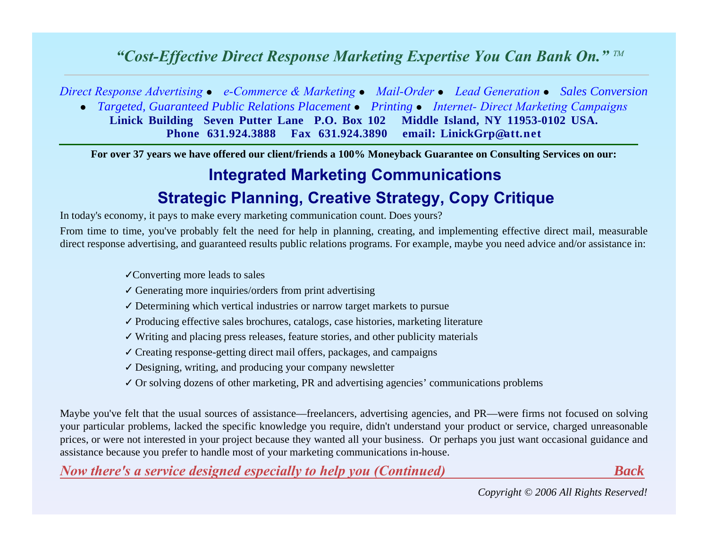<span id="page-4-0"></span>*Direct Response Advertising* - *e-Commerce & Marketing* - *Mail-Order* - *Lead Generation* - *Sales Conversion*

**•** Targeted, Guaranteed Public Relations Placement • Printing • Internet- Direct Marketing Campaigns **Linick Building Seven Putter Lane P.O. Box 102 Middle Island, NY 11953-0102 USA. Phone 631.924.3888 Fax 631.924.3890 email: LinickGrp@att.net**

**For over 37 years we have offered our client/friends a 100% Moneyback Guarantee on Consulting Services on our:**

# **Integrated Marketing Communications**

## **Strategic Planning, Creative Strategy, Copy Critique**

In today's economy, it pays to make every marketing communication count. Does yours?

From time to time, you've probably felt the need for help in planning, creating, and implementing effective direct mail, measurable direct response advertising, and guaranteed results public relations programs. For example, maybe you need advice and/or assistance in:

✓Converting more leads to sales

- $\checkmark$  Generating more inquiries/orders from print advertising
- ✓ Determining which vertical industries or narrow target markets to pursue
- ✓ Producing effective sales brochures, catalogs, case histories, marketing literature
- ✓ Writing and placing press releases, feature stories, and other publicity materials
- ✓ Creating response-getting direct mail offers, packages, and campaigns
- ✓ Designing, writing, and producing your company newsletter
- ✓ Or solving dozens of other marketing, PR and advertising agencies' communications problems

Maybe you've felt that the usual sources of assistance—freelancers, advertising agencies, and PR—were firms not focused on solving your particular problems, lacked the specific knowledge you require, didn't understand your product or service, charged unreasonable prices, or were not interested in your project because they wanted all your business. Or perhaps you just want occasional guidance and assistance because you prefer to handle most of your marketing communications in-house.

*[Now there's a service designed especially to help you \(Continued\)](#page-5-0) [Back](#page-3-0)*

*Copyright © 2006 All Rights Reserved!*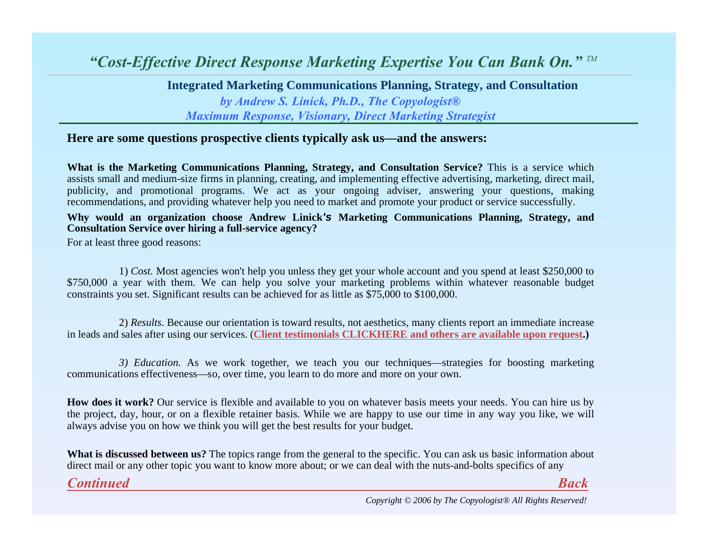**Integrated Marketing Communications Planning, Strategy, and Consultation** *by Andrew S. Linick, Ph.D., The Copyologist® Maximum Response, Visionary, Direct Marketing Strategist*

#### <span id="page-5-0"></span>**Here are some questions prospective clients typically ask us—and the answers:**

**What is the Marketing Communications Planning, Strategy, and Consultation Service?**  This is a service which assists small and medium-size firms in planning, creating, and implementing effective advertising, marketing, direct mail, publicity, and promotional programs. We act as your ongoing adviser, answering your questions, making recommendations, and providing whatever help you need to market and promote your product or service successfully.

#### **Why would an organization choose Andrew Linick's Marketing Communications Planning, Strategy, and Consultation Service over hiring a full-service agency?**

For at least three good reasons:

1) *Cost.* Most agencies won't help you unless they get your whole account and you spend at least \$250,000 to \$750,000 a year with them. We can help you solve your marketing problems within whatever reasonable budget constraints you set. Significant results can be achieved for as little as \$75,000 to \$100,000.

2) *Results.* Because our orientation is toward results, not aesthetics, many clients report an immediate increase in leads and sales after using our services. ( **[Client testimonials CLICKHERE and others are available upon request.\)](#page-8-0)**

*3) Education.* As we work together, we teach you our techniques—strategies for boosting marketing communications effectiveness—so, over time, you learn to do more and more on your own.

**How does it work?** Our service is flexible and available to you on whatever basis meets your needs. You can hire us by the project, day, hour, or on a flexible retainer basis. While we are happy to use our time in any way you like, we will always advise you on how we think you will get the best results for your budget.

**What is discussed between us?** The topics range from the general to the specific. You can ask us basic information about direct mail or any other topic you want to know more about; or we can deal with the nuts-and-bolts specifics of any

*[Continued](#page-6-0) [Back](#page-4-0)*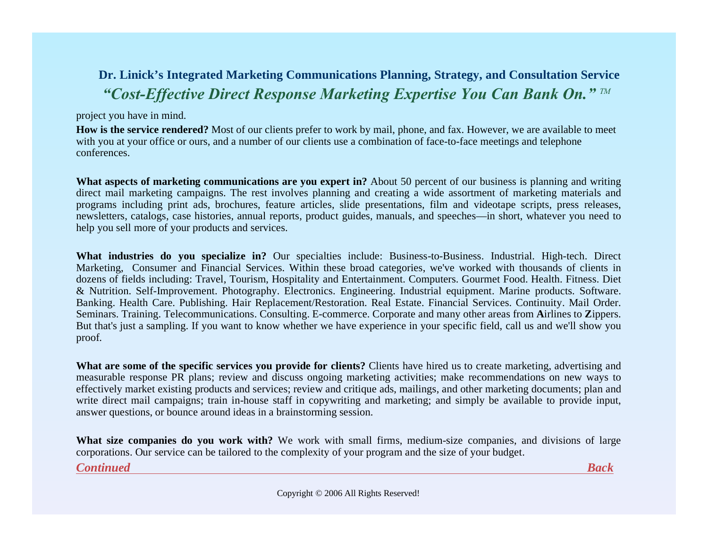## <span id="page-6-0"></span>**Dr. Linick's Integrated Marketing Communications Planning, Strategy, and Consultation Service** *"Cost-Effective Direct Response Marketing Expertise You Can Bank On." TM*

#### project you have in mind.

**How is the service rendered?** Most of our clients prefer to work by mail, phone, and fax. However, we are available to meet with you at your office or ours, and a number of our clients use a combination of face-to-face meetings and telephone conferences.

**What aspects of marketing communications are you expert in?** About 50 percent of our business is planning and writing direct mail marketing campaigns. The rest involves planning and creating a wide assortment of marketing materials and programs including print ads, brochures, feature articles, slide presentations, film and videotape scripts, press releases, newsletters, catalogs, case histories, annual reports, product guides, manuals, and speeches—in short, whatever you need to help you sell more of your products and services.

**What industries do you specialize in?** Our specialties include: Business-to-Business. Industrial. High-tech. Direct Marketing, Consumer and Financial Services. Within these broad categories, we've worked with thousands of clients in dozens of fields including: Travel, Tourism, Hospitality and Entertainment. Computers. Gourmet Food. Health. Fitness. Diet & Nutrition. Self-Improvement. Photography. Electronics. Engineering. Industrial equipment. Marine products. Software. Banking. Health Care. Publishing. Hair Replacement/Restoration. Real Estate. Financial Services. Continuity. Mail Order. Seminars. Training. Telecommunications. Consulting. E-commerce. Corporate and many other areas from **A**irlines to **Z**ippers. But that's just a sampling. If you want to know whether we have experience in your specific field, call us and we'll show you proof.

**What are some of the specific services you provide for clients?** Clients have hired us to create marketing, advertising and measurable response PR plans; review and discuss ongoing marketing activities; make recommendations on new ways to effectively market existing products and services; review and critique ads, mailings, and other marketing documents; plan and write direct mail campaigns; train in-house staff in copywriting and marketing; and simply be available to provide input, answer questions, or bounce around ideas in a brainstorming session.

**What size companies do you work with?** We work with small firms, medium-size companies, and divisions of large corporations. Our service can be tailored to the complexity of your program and the size of your budget.

*[Continued](#page-7-0) [Back](#page-5-0)*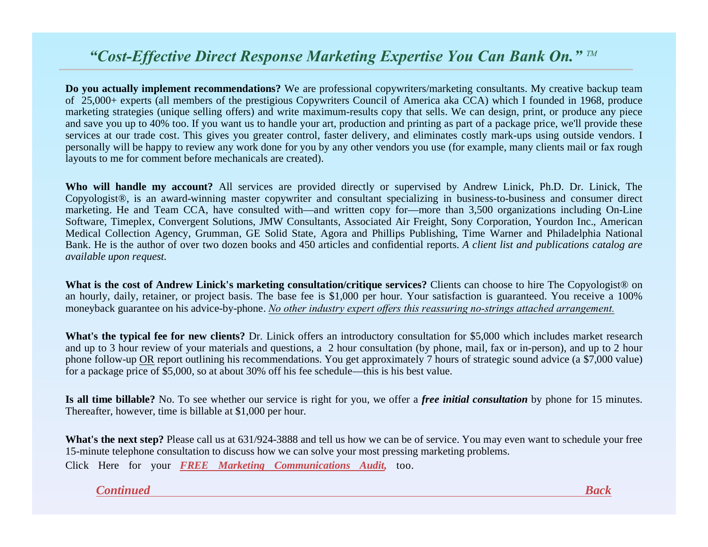<span id="page-7-0"></span>**Do you actually implement recommendations?** We are professional copywriters/marketing consultants. My creative backup team of 25,000+ experts (all members of the prestigious Copywriters Council of America aka CCA) which I founded in 1968, produce marketing strategies (unique selling offers) and write maximum-results copy that sells. We can design, print, or produce any piece and save you up to 40% too. If you want us to handle your art, production and printing as part of a package price, we'll provide these services at our trade cost. This gives you greater control, faster delivery, and eliminates costly mark-ups using outside vendors. I personally will be happy to review any work done for you by any other vendors you use (for example, many clients mail or fax rough layouts to me for comment before mechanicals are created).

**Who will handle my account?** All services are provided directly or supervised by Andrew Linick, Ph.D. Dr. Linick, The Copyologist®, is an award-winning master copywriter and consultant specializing in business-to-business and consumer direct marketing. He and Team CCA, have consulted with—and written copy for—more than 3,500 organizations including On-Line Software, Timeplex, Convergent Solutions, JMW Consultants, Associated Air Freight, Sony Corporation, Yourdon Inc., American Medical Collection Agency, Grumman, GE Solid State, Agora and Phillips Publishing, Time Warner and Philadelphia National Bank. He is the author of over two dozen books and 450 articles and confidential reports. *A client list and publications catalog are available upon request.*

**What is the cost of Andrew Linick's marketing consultation/critique services?** Clients can choose to hire The Copyologist® on an hourly, daily, retainer, or project basis. The base fee is \$1,000 per hour. Your satisfaction is guaranteed. You receive a 100% moneyback guarantee on his advice-by-phone. *No other industry expert offers this reassuring no-strings attached arrangement.*

**What's the typical fee for new clients?** Dr. Linick offers an introductory consultation for \$5,000 which includes market research and up to 3 hour review of your materials and questions, a 2 hour consultation (by phone, mail, fax or in-person), and up to 2 hour phone follow-up OR report outlining his recommendations. You get approximately 7 hours of strategic sound advice (a \$7,000 value) for a package price of \$5,000, so at about 30% off his fee schedule—this is his best value.

**Is all time billable?** No. To see whether our service is right for you, we offer a *free initial consultation* by phone for 15 minutes. Thereafter, however, time is billable at \$1,000 per hour.

**What's the next step?** Please call us at 631/924-3888 and tell us how we can be of service. You may even want to schedule your free 15-minute telephone consultation to discuss how we can solve your most pressing marketing problems. Click Here for your *FREE [Marketing Communications Audit,](#page-11-0)* too.

*[Continued](#page-8-0) [Bac](#page-6-0)k*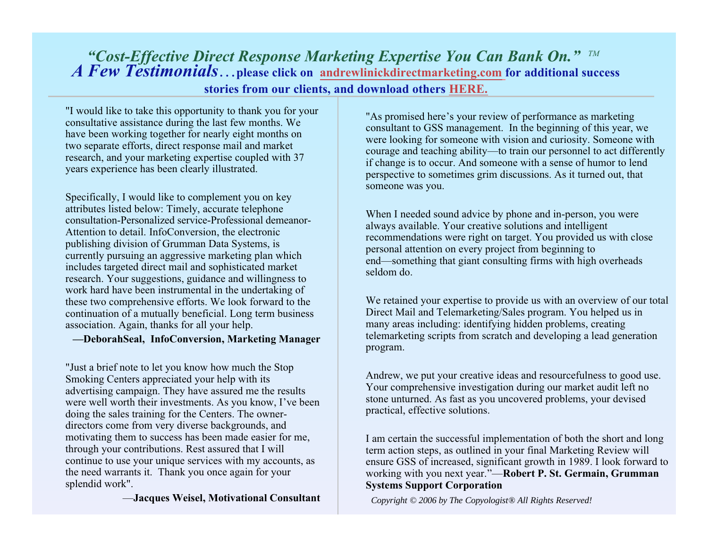<span id="page-8-0"></span>*A Few Testimonials*…**please click on [andrewlinickdirectmarketing.com](http://www.andrewlinickdirectmarketing.com) for additional success** *"Cost-Effective Direct Response Marketing Expertise You Can Bank On." TM*

**stories from our clients, and download others [HERE.](http://www.andrewlinickdirectmarketing.com/CCAsTestimonials.htm)**

"I would like to take this opportunity to thank you for your consultative assistance during the last few months. We have been working together for nearly eight months on two separate efforts, direct response mail and market research, and your marketing expertise coupled with 37 years experience has been clearly illustrated.

Specifically, I would like to complement you on key attributes listed below: Timely, accurate telephone consultation-Personalized service-Professional demeanor-Attention to detail. InfoConversion, the electronic publishing division of Grumman Data Systems, is currently pursuing an aggressive marketing plan which includes targeted direct mail and sophisticated market research. Your suggestions, guidance and willingness to work hard have been instrumental in the undertaking of these two comprehensive efforts. We look forward to the continuation of a mutually beneficial. Long term business association. Again, thanks for all your help.

#### **—DeborahSeal, InfoConversion, Marketing Manager**

"Just a brief note to let you know how much the Stop Smoking Centers appreciated your help with its advertising campaign. They have assured me the results were well worth their investments. As you know, I've been doing the sales training for the Centers. The ownerdirectors come from very diverse backgrounds, and motivating them to success has been made easier for me, through your contributions. Rest assured that I will continue to use your unique services with my accounts, as the need warrants it. Thank you once again for your splendid work".

—**Jacques Weisel, Motivational Consultant**

"As promised here's your review of performance as marketing consultant to GSS management. In the beginning of this year, we were looking for someone with vision and curiosity. Someone with courage and teaching ability—to train our personnel to act differently if change is to occur. And someone with a sense of humor to lend perspective to sometimes grim discussions. As it turned out, that someone was you.

When I needed sound advice by phone and in-person, you were always available. Your creative solutions and intelligent recommendations were right on target. You provided us with close personal attention on every project from beginning to end—something that giant consulting firms with high overheads seldom do.

We retained your expertise to provide us with an overview of our total Direct Mail and Telemarketing/Sales program. You helped us in many areas including: identifying hidden problems, creating telemarketing scripts from scratch and developing a lead generation program.

Andrew, we put your creative ideas and resourcefulness to good use. Your comprehensive investigation during our market audit left no stone unturned. As fast as you uncovered problems, your devised practical, effective solutions.

I am certain the successful implementation of both the short and long term action steps, as outlined in your final Marketing Review will ensure GSS of increased, significant growth in 1989. I look forward to working with you next year."—**Robert P. St. Germain, Grumman Systems Support Corporation**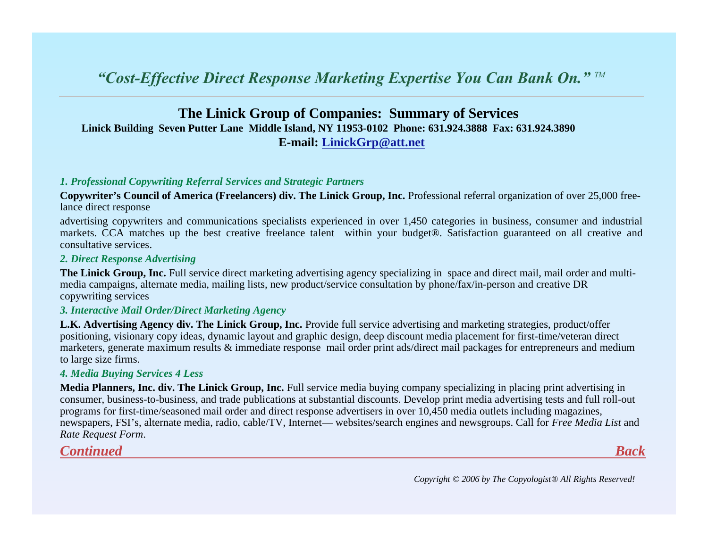## <span id="page-9-0"></span>**The Linick Group of Companies: Summary of Services Linick Building Seven Putter Lane Middle Island, NY 11953-0102 Phone: 631.924.3888 Fax: 631.924.3890 E-mail: [LinickGrp](mailto:linickgrp@att.net) @att.net**

#### *1. Professional Copywriting Referral Services and Strategic Partners*

**Copywriter's Council of America (Freelancers) div. The Linick Group, Inc.** Professional referral organization of over 25,000 freelance direct response

advertising copywriters and communications specialists experienced in over 1,450 categories in business, consumer and industrial markets. CCA matches up the best creative freelance talent within your budget®. Satisfaction guaranteed on all creative and consultative services.

#### *2. Direct Response Advertising*

**The Linick Group, Inc.** Full service direct marketing advertising agency specializing in space and direct mail, mail order and multimedia campaigns, alternate media, mailing lists, new product/service consultation by phone/fax/in-person and creative DR copywriting services

#### *3. Interactive Mail Order/Direct Marketing Agency*

**L.K. Advertising Agency div. The Linick Group, Inc.** Provide full service advertising and marketing strategies, product/offer positioning, visionary copy ideas, dynamic layout and graphic design, deep discount media placement for first-time/veteran direct marketers, generate maximum results & immediate response mail order print ads/direct mail packages for entrepreneurs and mediu m to large size firms.

#### *4. Media Buying Services 4 Less*

**Media Planners, Inc. div. The Linick Group, Inc.** Full service media buying company specializing in placing print advertising in consumer, business-to-business, and trade publications at substantial discounts. Develop print media advertising tests and full roll-out programs for first-time/seasoned mail order and direct response advertisers in over 10,450 media outlets including magazines, newspapers, FSI's, alternate media, radio, cable/TV, Internet— websites/search engines and newsgroups. Call for *Free Media List* and *Rate Request Form*.

*[Continued](#page-11-0) [Back](#page-8-0)*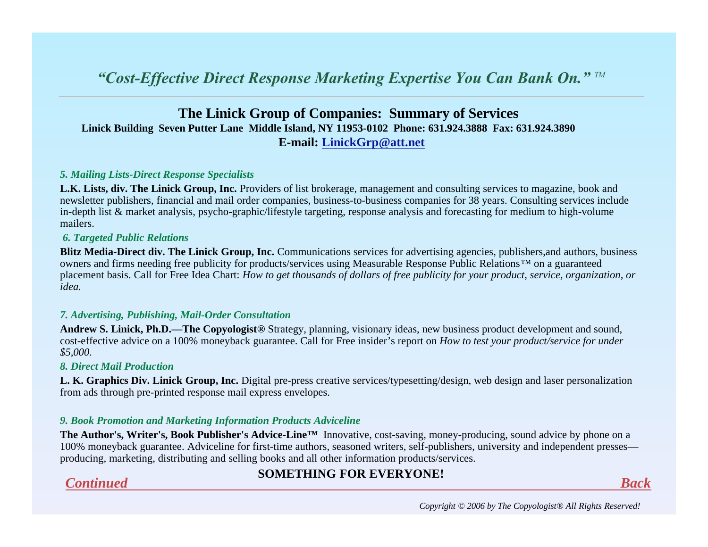## **The Linick Group of Companies: Summary of Services Linick Building Seven Putter Lane Middle Island, NY 11953-0102 Phone: 631.924.3888 Fax: 631.924.3890 E-mail: LinickGrp@att.net**

#### *5. Mailing Lists-Direct Response Specialists*

**L.K. Lists, div. The Linick Group, Inc.** Providers of list brokerage, management and consulting services to magazine, book and newsletter publishers, financial and mail order companies, business-to-business companies for 38 years. Consulting services include in-depth list & market analysis, psycho-graphic/lifestyle targeting, response analysis and forecasting for medium to high-volume mailers.

#### *6. Targeted Public Relations*

**Blitz Media-Direct div. The Linick Group, Inc.** Communications services for advertising agencies, publishers,and authors, business owners and firms needing free publicity for products/services using Measurable Response Public Relations™ on a guaranteed placement basis. Call for Free Idea Chart: *How to get thousands of dollars of free publicity for your product, service, organization, or idea.*

#### *7. Advertising, Publishing, Mail-Order Consultation*

**Andrew S. Linick, Ph.D.—The Copyologist®** Strategy, planning, visionary ideas, new business product development and sound, cost-effective advice on a 100% moneyback guarantee. Call for Free insider's report on *How to test your product/service for under \$5,000.*

#### *8. Direct Mail Production*

**L. K. Graphics Div. Linick Group, Inc.** Digital pre-press creative services/typesetting/design, web design and laser personalization from ads through pre-printed response mail express envelopes.

#### *9. Book Promotion and Marketing Information Products Adviceline*

**The Author's, Writer's, Book Publisher's Advice-Line™** Innovative, cost-saving, money-producing, sound advice by phone on a 100% moneyback guarantee. Adviceline for first-time authors, seasoned writers, self-publishers, university and independent presses producing, marketing, distributing and selling books and all other information products/services.

#### **SOMETHING FOR EVERYONE!** *Continued Back*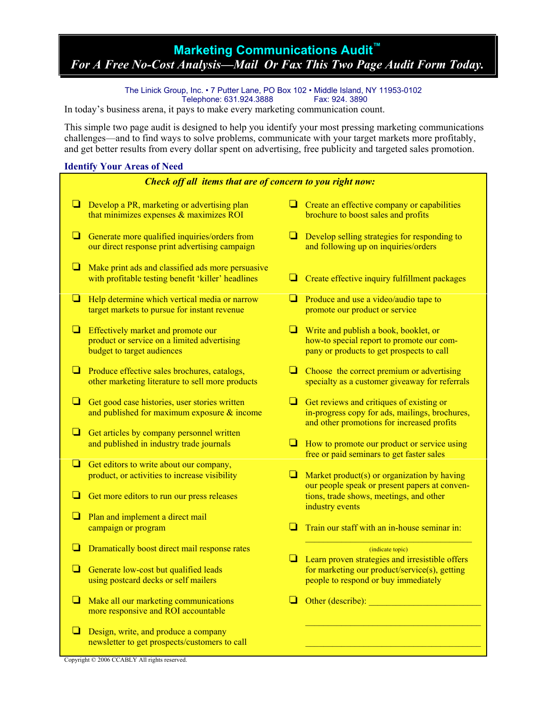## <span id="page-11-0"></span>**Marketing Communications Audit™**  *For A Free No-Cost Analysis—Mail Or Fax This Two Page Audit Form Today.*

The Linick Group, Inc. • 7 Putter Lane, PO Box 102 • Middle Island, NY 11953-0102 Telephone: 631.924.3888

In today's business arena, it pays to make every marketing communication count.

This simple two page audit is designed to help you identify your most pressing marketing communications challenges—and to find ways to solve problems, communicate with your target markets more profitably, and get better results from every dollar spent on advertising, free publicity and targeted sales promotion.

#### **Identify Your Areas of Need**

| Check off all items that are of concern to you right now: |                                                                                                                 |   |                                                                                                                                          |  |  |  |  |
|-----------------------------------------------------------|-----------------------------------------------------------------------------------------------------------------|---|------------------------------------------------------------------------------------------------------------------------------------------|--|--|--|--|
| ⊔                                                         | Develop a PR, marketing or advertising plan<br>that minimizes expenses $&$ maximizes ROI                        |   | Create an effective company or capabilities<br>brochure to boost sales and profits                                                       |  |  |  |  |
| ❏                                                         | Generate more qualified inquiries/orders from<br>our direct response print advertising campaign                 | u | Develop selling strategies for responding to<br>and following up on inquiries/orders                                                     |  |  |  |  |
| ❏                                                         | Make print ads and classified ads more persuasive<br>with profitable testing benefit 'killer' headlines         | ⊔ | Create effective inquiry fulfillment packages                                                                                            |  |  |  |  |
| ❏                                                         | Help determine which vertical media or narrow<br>target markets to pursue for instant revenue                   | ❏ | Produce and use a video/audio tape to<br>promote our product or service                                                                  |  |  |  |  |
| ❏                                                         | Effectively market and promote our<br>product or service on a limited advertising<br>budget to target audiences |   | Write and publish a book, booklet, or<br>how-to special report to promote our com-<br>pany or products to get prospects to call          |  |  |  |  |
| ❏                                                         | Produce effective sales brochures, catalogs,<br>other marketing literature to sell more products                | ч | Choose the correct premium or advertising<br>specialty as a customer giveaway for referrals                                              |  |  |  |  |
| ❏                                                         | Get good case histories, user stories written<br>and published for maximum exposure $\&$ income                 | u | Get reviews and critiques of existing or<br>in-progress copy for ads, mailings, brochures,<br>and other promotions for increased profits |  |  |  |  |
| ❏                                                         | Get articles by company personnel written<br>and published in industry trade journals                           | ⊔ | How to promote our product or service using<br>free or paid seminars to get faster sales                                                 |  |  |  |  |
| ❏                                                         |                                                                                                                 |   |                                                                                                                                          |  |  |  |  |
|                                                           | Get editors to write about our company,<br>product, or activities to increase visibility                        |   | Market product(s) or organization by having<br>our people speak or present papers at conven-                                             |  |  |  |  |
| ❏                                                         | Get more editors to run our press releases                                                                      |   | tions, trade shows, meetings, and other<br>industry events                                                                               |  |  |  |  |
| ❏                                                         | Plan and implement a direct mail                                                                                |   |                                                                                                                                          |  |  |  |  |
|                                                           | campaign or program                                                                                             |   | Train our staff with an in-house seminar in:                                                                                             |  |  |  |  |
| □                                                         | Dramatically boost direct mail response rates                                                                   | ⊔ | (indicate topic)<br>Learn proven strategies and irresistible offers                                                                      |  |  |  |  |
|                                                           | Generate low-cost but qualified leads<br>using postcard decks or self mailers                                   |   | for marketing our product/service(s), getting<br>people to respond or buy immediately                                                    |  |  |  |  |
| ⊔                                                         | Make all our marketing communications<br>more responsive and ROI accountable                                    | ⊔ | Other (describe): <u>contained</u>                                                                                                       |  |  |  |  |
| ❏                                                         | Design, write, and produce a company<br>newsletter to get prospects/customers to call                           |   |                                                                                                                                          |  |  |  |  |